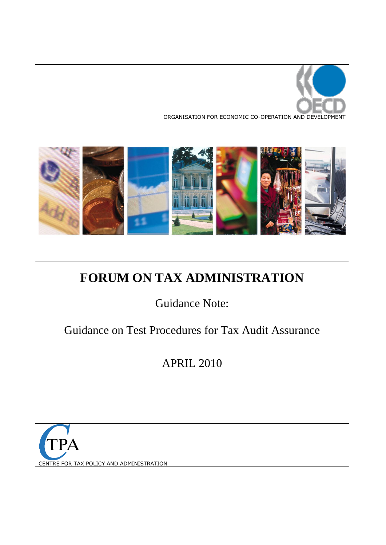



# **FORUM ON TAX ADMINISTRATION**

Guidance Note:

Guidance on Test Procedures for Tax Audit Assurance

APRIL 2010

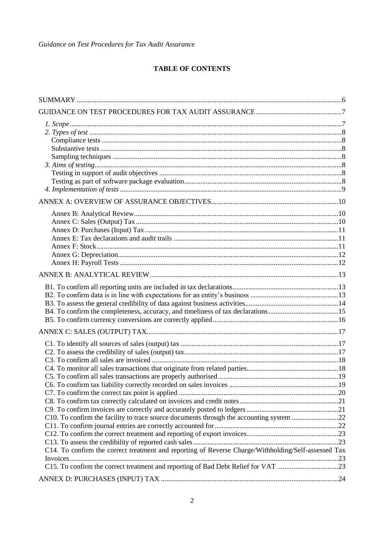## **TABLE OF CONTENTS**

| B4. To confirm the completeness, accuracy, and timeliness of tax declarations15                     |  |
|-----------------------------------------------------------------------------------------------------|--|
|                                                                                                     |  |
|                                                                                                     |  |
|                                                                                                     |  |
| C10. To confirm the facility to trace source documents through the accounting system 22             |  |
| C14. To confirm the correct treatment and reporting of Reverse Charge/Withholding/Self-assessed Tax |  |
| C15. To confirm the correct treatment and reporting of Bad Debt Relief for VAT 23                   |  |
|                                                                                                     |  |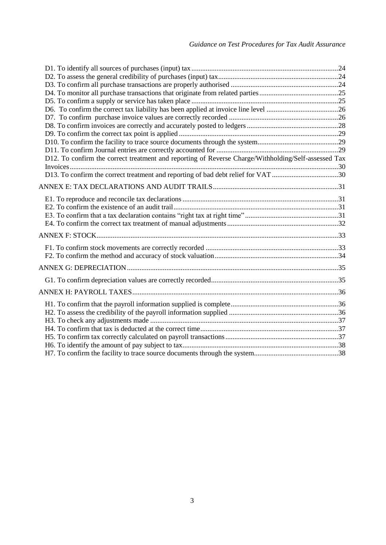| D12. To confirm the correct treatment and reporting of Reverse Charge/Withholding/Self-assessed Tax |  |
|-----------------------------------------------------------------------------------------------------|--|
|                                                                                                     |  |
| D13. To confirm the correct treatment and reporting of bad debt relief for VAT 30                   |  |
|                                                                                                     |  |
|                                                                                                     |  |
|                                                                                                     |  |
|                                                                                                     |  |
|                                                                                                     |  |
|                                                                                                     |  |
|                                                                                                     |  |
|                                                                                                     |  |
|                                                                                                     |  |
|                                                                                                     |  |
|                                                                                                     |  |
|                                                                                                     |  |
|                                                                                                     |  |
|                                                                                                     |  |
|                                                                                                     |  |
|                                                                                                     |  |
|                                                                                                     |  |
|                                                                                                     |  |
|                                                                                                     |  |
|                                                                                                     |  |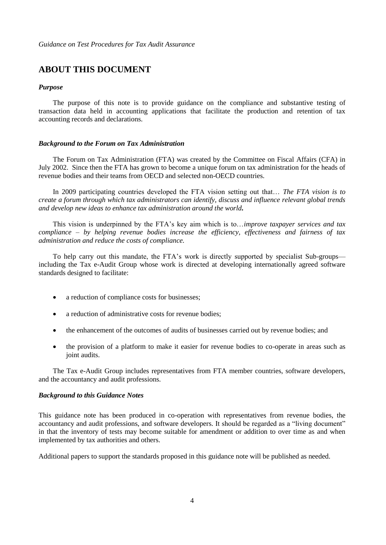# **ABOUT THIS DOCUMENT**

#### *Purpose*

The purpose of this note is to provide guidance on the compliance and substantive testing of transaction data held in accounting applications that facilitate the production and retention of tax accounting records and declarations.

#### *Background to the Forum on Tax Administration*

The Forum on Tax Administration (FTA) was created by the Committee on Fiscal Affairs (CFA) in July 2002. Since then the FTA has grown to become a unique forum on tax administration for the heads of revenue bodies and their teams from OECD and selected non-OECD countries.

In 2009 participating countries developed the FTA vision setting out that… *The FTA vision is to create a forum through which tax administrators can identify, discuss and influence relevant global trends and develop new ideas to enhance tax administration around the world.*

This vision is underpinned by the FTA's key aim which is to…*improve taxpayer services and tax compliance – by helping revenue bodies increase the efficiency, effectiveness and fairness of tax administration and reduce the costs of compliance.*

To help carry out this mandate, the FTA's work is directly supported by specialist Sub-groups including the Tax e-Audit Group whose work is directed at developing internationally agreed software standards designed to facilitate:

- a reduction of compliance costs for businesses;
- a reduction of administrative costs for revenue bodies;
- the enhancement of the outcomes of audits of businesses carried out by revenue bodies; and
- the provision of a platform to make it easier for revenue bodies to co-operate in areas such as joint audits.

The Tax e-Audit Group includes representatives from FTA member countries, software developers, and the accountancy and audit professions.

#### *Background to this Guidance Notes*

This guidance note has been produced in co-operation with representatives from revenue bodies, the accountancy and audit professions, and software developers. It should be regarded as a "living document" in that the inventory of tests may become suitable for amendment or addition to over time as and when implemented by tax authorities and others.

Additional papers to support the standards proposed in this guidance note will be published as needed.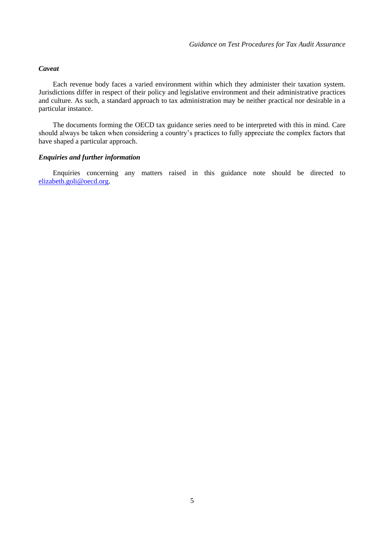#### *Caveat*

Each revenue body faces a varied environment within which they administer their taxation system. Jurisdictions differ in respect of their policy and legislative environment and their administrative practices and culture. As such, a standard approach to tax administration may be neither practical nor desirable in a particular instance.

The documents forming the OECD tax guidance series need to be interpreted with this in mind. Care should always be taken when considering a country's practices to fully appreciate the complex factors that have shaped a particular approach.

#### *Enquiries and further information*

Enquiries concerning any matters raised in this guidance note should be directed to [elizabeth.goli@oecd.org.](mailto:elizabeth.goli@oecd.org)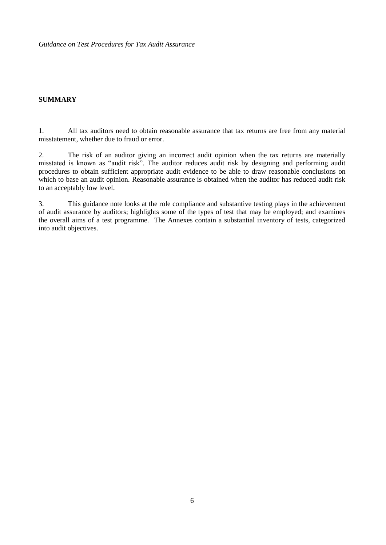#### <span id="page-5-0"></span>**SUMMARY**

1. All tax auditors need to obtain reasonable assurance that tax returns are free from any material misstatement, whether due to fraud or error.

2. The risk of an auditor giving an incorrect audit opinion when the tax returns are materially misstated is known as "audit risk". The auditor reduces audit risk by designing and performing audit procedures to obtain sufficient appropriate audit evidence to be able to draw reasonable conclusions on which to base an audit opinion. Reasonable assurance is obtained when the auditor has reduced audit risk to an acceptably low level.

3. This guidance note looks at the role compliance and substantive testing plays in the achievement of audit assurance by auditors; highlights some of the types of test that may be employed; and examines the overall aims of a test programme. The Annexes contain a substantial inventory of tests, categorized into audit objectives.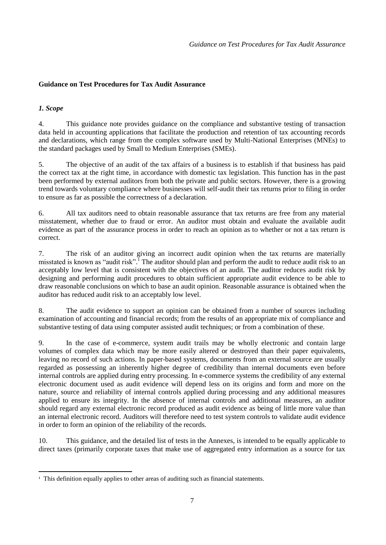#### <span id="page-6-1"></span><span id="page-6-0"></span>*1. Scope*

 $\overline{a}$ 

4. This guidance note provides guidance on the compliance and substantive testing of transaction data held in accounting applications that facilitate the production and retention of tax accounting records and declarations, which range from the complex software used by Multi-National Enterprises (MNEs) to the standard packages used by Small to Medium Enterprises (SMEs).

5. The objective of an audit of the tax affairs of a business is to establish if that business has paid the correct tax at the right time, in accordance with domestic tax legislation. This function has in the past been performed by external auditors from both the private and public sectors. However, there is a growing trend towards voluntary compliance where businesses will self-audit their tax returns prior to filing in order to ensure as far as possible the correctness of a declaration.

6. All tax auditors need to obtain reasonable assurance that tax returns are free from any material misstatement, whether due to fraud or error. An auditor must obtain and evaluate the available audit evidence as part of the assurance process in order to reach an opinion as to whether or not a tax return is correct.

7. The risk of an auditor giving an incorrect audit opinion when the tax returns are materially misstated is known as "audit risk". The auditor should plan and perform the audit to reduce audit risk to an acceptably low level that is consistent with the objectives of an audit. The auditor reduces audit risk by designing and performing audit procedures to obtain sufficient appropriate audit evidence to be able to draw reasonable conclusions on which to base an audit opinion. Reasonable assurance is obtained when the auditor has reduced audit risk to an acceptably low level.

8. The audit evidence to support an opinion can be obtained from a number of sources including examination of accounting and financial records; from the results of an appropriate mix of compliance and substantive testing of data using computer assisted audit techniques; or from a combination of these.

9. In the case of e-commerce, system audit trails may be wholly electronic and contain large volumes of complex data which may be more easily altered or destroyed than their paper equivalents, leaving no record of such actions. In paper-based systems, documents from an external source are usually regarded as possessing an inherently higher degree of credibility than internal documents even before internal controls are applied during entry processing. In e-commerce systems the credibility of any external electronic document used as audit evidence will depend less on its origins and form and more on the nature, source and reliability of internal controls applied during processing and any additional measures applied to ensure its integrity. In the absence of internal controls and additional measures, an auditor should regard any external electronic record produced as audit evidence as being of little more value than an internal electronic record. Auditors will therefore need to test system controls to validate audit evidence in order to form an opinion of the reliability of the records.

10. This guidance, and the detailed list of tests in the Annexes, is intended to be equally applicable to direct taxes (primarily corporate taxes that make use of aggregated entry information as a source for tax

<sup>&</sup>lt;sup>1</sup> This definition equally applies to other areas of auditing such as financial statements.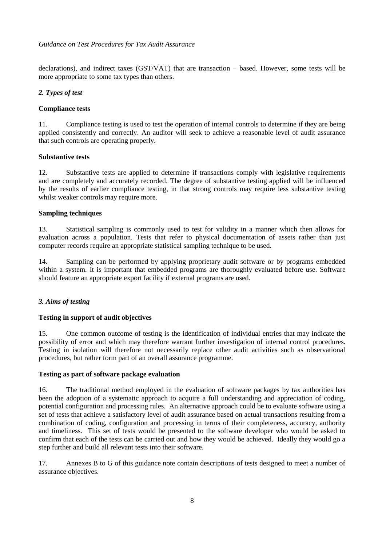declarations), and indirect taxes (GST/VAT) that are transaction – based. However, some tests will be more appropriate to some tax types than others.

#### <span id="page-7-0"></span>*2. Types of test*

#### <span id="page-7-1"></span>**Compliance tests**

11. Compliance testing is used to test the operation of internal controls to determine if they are being applied consistently and correctly. An auditor will seek to achieve a reasonable level of audit assurance that such controls are operating properly.

#### <span id="page-7-2"></span>**Substantive tests**

12. Substantive tests are applied to determine if transactions comply with legislative requirements and are completely and accurately recorded. The degree of substantive testing applied will be influenced by the results of earlier compliance testing, in that strong controls may require less substantive testing whilst weaker controls may require more.

#### <span id="page-7-3"></span>**Sampling techniques**

13. Statistical sampling is commonly used to test for validity in a manner which then allows for evaluation across a population. Tests that refer to physical documentation of assets rather than just computer records require an appropriate statistical sampling technique to be used.

14. Sampling can be performed by applying proprietary audit software or by programs embedded within a system. It is important that embedded programs are thoroughly evaluated before use. Software should feature an appropriate export facility if external programs are used.

#### <span id="page-7-4"></span>*3. Aims of testing*

#### <span id="page-7-5"></span>**Testing in support of audit objectives**

15. One common outcome of testing is the identification of individual entries that may indicate the possibility of error and which may therefore warrant further investigation of internal control procedures. Testing in isolation will therefore not necessarily replace other audit activities such as observational procedures, but rather form part of an overall assurance programme.

#### <span id="page-7-6"></span>**Testing as part of software package evaluation**

16. The traditional method employed in the evaluation of software packages by tax authorities has been the adoption of a systematic approach to acquire a full understanding and appreciation of coding, potential configuration and processing rules. An alternative approach could be to evaluate software using a set of tests that achieve a satisfactory level of audit assurance based on actual transactions resulting from a combination of coding, configuration and processing in terms of their completeness, accuracy, authority and timeliness. This set of tests would be presented to the software developer who would be asked to confirm that each of the tests can be carried out and how they would be achieved. Ideally they would go a step further and build all relevant tests into their software.

17. Annexes B to G of this guidance note contain descriptions of tests designed to meet a number of assurance objectives.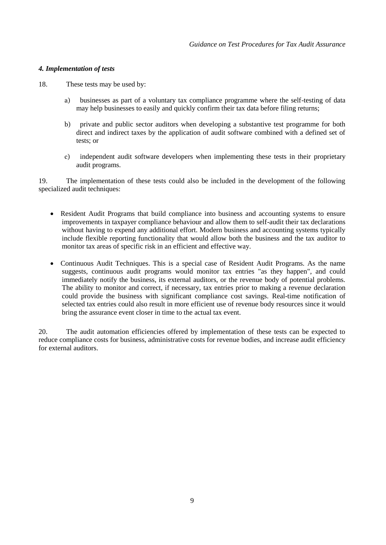#### <span id="page-8-0"></span>*4. Implementation of tests*

18. These tests may be used by:

- a) businesses as part of a voluntary tax compliance programme where the self-testing of data may help businesses to easily and quickly confirm their tax data before filing returns;
- b) private and public sector auditors when developing a substantive test programme for both direct and indirect taxes by the application of audit software combined with a defined set of tests; or
- c) independent audit software developers when implementing these tests in their proprietary audit programs.

19. The implementation of these tests could also be included in the development of the following specialized audit techniques:

- Resident Audit Programs that build compliance into business and accounting systems to ensure improvements in taxpayer compliance behaviour and allow them to self-audit their tax declarations without having to expend any additional effort. Modern business and accounting systems typically include flexible reporting functionality that would allow both the business and the tax auditor to monitor tax areas of specific risk in an efficient and effective way.
- Continuous Audit Techniques. This is a special case of Resident Audit Programs. As the name suggests, continuous audit programs would monitor tax entries "as they happen", and could immediately notify the business, its external auditors, or the revenue body of potential problems. The ability to monitor and correct, if necessary, tax entries prior to making a revenue declaration could provide the business with significant compliance cost savings. Real-time notification of selected tax entries could also result in more efficient use of revenue body resources since it would bring the assurance event closer in time to the actual tax event.

20. The audit automation efficiencies offered by implementation of these tests can be expected to reduce compliance costs for business, administrative costs for revenue bodies, and increase audit efficiency for external auditors.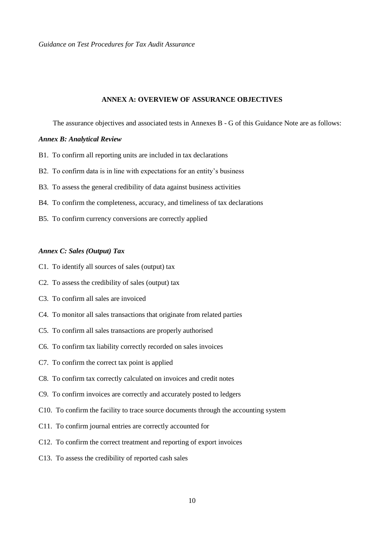#### <span id="page-9-0"></span>**ANNEX A: OVERVIEW OF ASSURANCE OBJECTIVES**

The assurance objectives and associated tests in Annexes B - G of this Guidance Note are as follows:

#### <span id="page-9-1"></span>*Annex B: Analytical Review*

- B1. To confirm all reporting units are included in tax declarations
- B2. To confirm data is in line with expectations for an entity's business
- B3. To assess the general credibility of data against business activities
- B4. To confirm the completeness, accuracy, and timeliness of tax declarations
- B5. To confirm currency conversions are correctly applied

#### <span id="page-9-2"></span>*Annex C: Sales (Output) Tax*

- C1. To identify all sources of sales (output) tax
- C2. To assess the credibility of sales (output) tax
- C3. To confirm all sales are invoiced
- C4. To monitor all sales transactions that originate from related parties
- C5. To confirm all sales transactions are properly authorised
- C6. To confirm tax liability correctly recorded on sales invoices
- C7. To confirm the correct tax point is applied
- C8. To confirm tax correctly calculated on invoices and credit notes
- C9. To confirm invoices are correctly and accurately posted to ledgers
- C10. To confirm the facility to trace source documents through the accounting system
- C11. To confirm journal entries are correctly accounted for
- C12. To confirm the correct treatment and reporting of export invoices
- C13. To assess the credibility of reported cash sales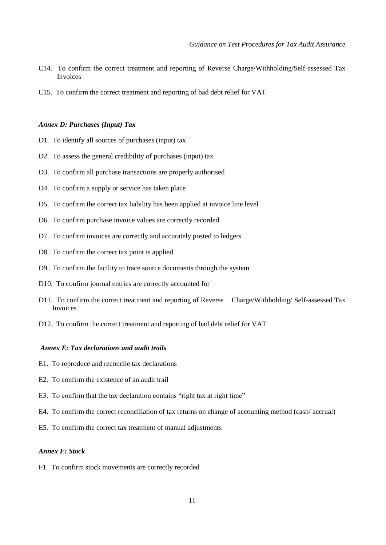- C14. To confirm the correct treatment and reporting of Reverse Charge/Withholding/Self-assessed Tax Invoices
- C15. To confirm the correct treatment and reporting of bad debt relief for VAT

#### <span id="page-10-0"></span>*Annex D: Purchases (Input) Tax*

- D1. To identify all sources of purchases (input) tax
- D2. To assess the general credibility of purchases (input) tax
- D3. To confirm all purchase transactions are properly authorised
- D4. To confirm a supply or service has taken place
- D5. To confirm the correct tax liability has been applied at invoice line level
- D6. To confirm purchase invoice values are correctly recorded
- D7. To confirm invoices are correctly and accurately posted to ledgers
- D8. To confirm the correct tax point is applied
- D9. To confirm the facility to trace source documents through the system
- D10. To confirm journal entries are correctly accounted for
- D11. To confirm the correct treatment and reporting of Reverse Charge/Withholding/ Self-assessed Tax Invoices
- D12. To confirm the correct treatment and reporting of bad debt relief for VAT

#### <span id="page-10-1"></span>*Annex E: Tax declarations and audit trails*

- E1. To reproduce and reconcile tax declarations
- E2. To confirm the existence of an audit trail
- E3. To confirm that the tax declaration contains "right tax at right time"
- E4. To confirm the correct reconciliation of tax returns on change of accounting method (cash/ accrual)
- E5. To confirm the correct tax treatment of manual adjustments

#### <span id="page-10-2"></span>*Annex F: Stock*

F1. To confirm stock movements are correctly recorded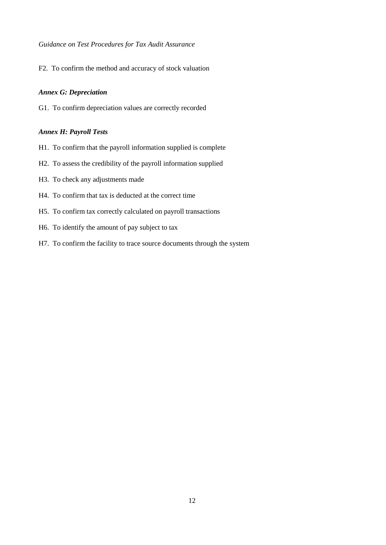F2. To confirm the method and accuracy of stock valuation

#### <span id="page-11-0"></span>*Annex G: Depreciation*

<span id="page-11-1"></span>G1. To confirm depreciation values are correctly recorded

#### *Annex H: Payroll Tests*

- H1. To confirm that the payroll information supplied is complete
- H2. To assess the credibility of the payroll information supplied
- H3. To check any adjustments made
- H4. To confirm that tax is deducted at the correct time
- H5. To confirm tax correctly calculated on payroll transactions
- H6. To identify the amount of pay subject to tax
- H7. To confirm the facility to trace source documents through the system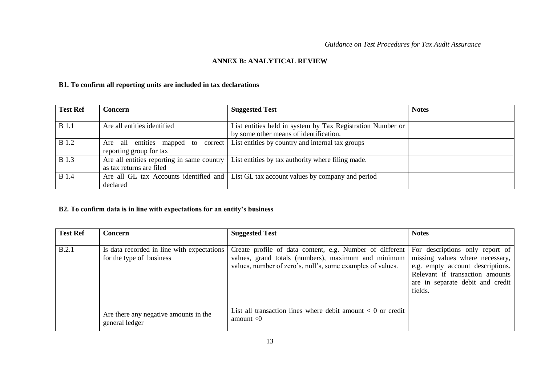#### **ANNEX B: ANALYTICAL REVIEW**

#### **B1. To confirm all reporting units are included in tax declarations**

| <b>Test Ref</b> | Concern                                    | <b>Suggested Test</b>                                                                   | <b>Notes</b> |
|-----------------|--------------------------------------------|-----------------------------------------------------------------------------------------|--------------|
|                 |                                            |                                                                                         |              |
| <b>B</b> 1.1    | Are all entities identified                | List entities held in system by Tax Registration Number or                              |              |
|                 |                                            | by some other means of identification.                                                  |              |
| <b>B</b> 1.2    | Are all entities mapped to<br>correct      | List entities by country and internal tax groups                                        |              |
|                 | reporting group for tax                    |                                                                                         |              |
| <b>B</b> 1.3    | Are all entities reporting in same country | List entities by tax authority where filing made.                                       |              |
|                 | as tax returns are filed                   |                                                                                         |              |
| <b>B</b> 1.4    |                                            | Are all GL tax Accounts identified and List GL tax account values by company and period |              |
|                 | declared                                   |                                                                                         |              |

#### <span id="page-12-0"></span>**B2. To confirm data is in line with expectations for an entity's business**

<span id="page-12-2"></span><span id="page-12-1"></span>

| <b>Test Ref</b> | Concern                                                                | <b>Suggested Test</b>                                                                                                                                                         | <b>Notes</b>                                                                                                                                                                             |
|-----------------|------------------------------------------------------------------------|-------------------------------------------------------------------------------------------------------------------------------------------------------------------------------|------------------------------------------------------------------------------------------------------------------------------------------------------------------------------------------|
|                 |                                                                        |                                                                                                                                                                               |                                                                                                                                                                                          |
| B.2.1           | Is data recorded in line with expectations<br>for the type of business | Create profile of data content, e.g. Number of different<br>values, grand totals (numbers), maximum and minimum<br>values, number of zero's, null's, some examples of values. | For descriptions only report of<br>missing values where necessary,<br>e.g. empty account descriptions.<br>Relevant if transaction amounts<br>are in separate debit and credit<br>fields. |
|                 | Are there any negative amounts in the<br>general ledger                | List all transaction lines where debit amount $< 0$ or credit<br>amount $<$ 0                                                                                                 |                                                                                                                                                                                          |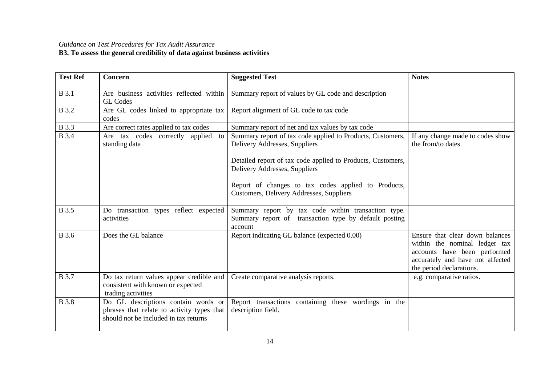#### *Guidance on Test Procedures for Tax Audit Assurance* **B3. To assess the general credibility of data against business activities**

<span id="page-13-0"></span>

| <b>Test Ref</b> | Concern                                                                                                                    | <b>Suggested Test</b>                                                                                                                                      | <b>Notes</b>                                                                                                                                                     |
|-----------------|----------------------------------------------------------------------------------------------------------------------------|------------------------------------------------------------------------------------------------------------------------------------------------------------|------------------------------------------------------------------------------------------------------------------------------------------------------------------|
| <b>B</b> 3.1    | Are business activities reflected within<br><b>GL</b> Codes                                                                | Summary report of values by GL code and description                                                                                                        |                                                                                                                                                                  |
| <b>B</b> 3.2    | Are GL codes linked to appropriate tax<br>codes                                                                            | Report alignment of GL code to tax code                                                                                                                    |                                                                                                                                                                  |
| <b>B</b> 3.3    | Are correct rates applied to tax codes                                                                                     | Summary report of net and tax values by tax code                                                                                                           |                                                                                                                                                                  |
| <b>B</b> 3.4    | Are tax codes correctly applied<br>to<br>standing data                                                                     | Summary report of tax code applied to Products, Customers,<br>Delivery Addresses, Suppliers<br>Detailed report of tax code applied to Products, Customers, | If any change made to codes show<br>the from/to dates                                                                                                            |
|                 |                                                                                                                            | Delivery Addresses, Suppliers<br>Report of changes to tax codes applied to Products,<br>Customers, Delivery Addresses, Suppliers                           |                                                                                                                                                                  |
| <b>B</b> 3.5    | Do transaction types reflect expected<br>activities                                                                        | Summary report by tax code within transaction type.<br>Summary report of transaction type by default posting<br>account                                    |                                                                                                                                                                  |
| <b>B</b> 3.6    | Does the GL balance                                                                                                        | Report indicating GL balance (expected 0.00)                                                                                                               | Ensure that clear down balances<br>within the nominal ledger tax<br>accounts have been performed<br>accurately and have not affected<br>the period declarations. |
| <b>B</b> 3.7    | Do tax return values appear credible and<br>consistent with known or expected<br>trading activities                        | Create comparative analysis reports.                                                                                                                       | e.g. comparative ratios.                                                                                                                                         |
| <b>B</b> 3.8    | Do GL descriptions contain words or<br>phrases that relate to activity types that<br>should not be included in tax returns | Report transactions containing these wordings in the<br>description field.                                                                                 |                                                                                                                                                                  |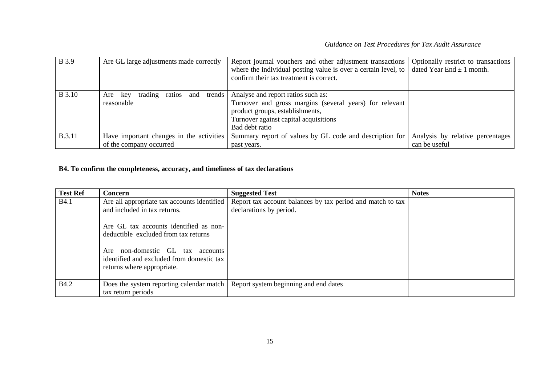| <b>B</b> 3.9  | Are GL large adjustments made correctly                        | Report journal vouchers and other adjustment transactions<br>where the individual posting value is over a certain level, to<br>confirm their tax treatment is correct.                      | Optionally restrict to transactions<br>dated Year End $\pm$ 1 month. |
|---------------|----------------------------------------------------------------|---------------------------------------------------------------------------------------------------------------------------------------------------------------------------------------------|----------------------------------------------------------------------|
| <b>B</b> 3.10 | trends<br>trading<br>ratios<br>and<br>Are<br>key<br>reasonable | Analyse and report ratios such as:<br>Turnover and gross margins (several years) for relevant<br>product groups, establishments,<br>Turnover against capital acquisitions<br>Bad debt ratio |                                                                      |
| <b>B.3.11</b> | Have important changes in the activities                       | Summary report of values by GL code and description for                                                                                                                                     | Analysis by relative percentages                                     |
|               | of the company occurred                                        | past years.                                                                                                                                                                                 | can be useful                                                        |

## **B4. To confirm the completeness, accuracy, and timeliness of tax declarations**

<span id="page-14-0"></span>

| <b>Test Ref</b> | <b>Concern</b>                                                                                                        | <b>Suggested Test</b>                                                                 | <b>Notes</b> |
|-----------------|-----------------------------------------------------------------------------------------------------------------------|---------------------------------------------------------------------------------------|--------------|
| <b>B</b> 4.1    | Are all appropriate tax accounts identified<br>and included in tax returns.<br>Are GL tax accounts identified as non- | Report tax account balances by tax period and match to tax<br>declarations by period. |              |
|                 | deductible excluded from tax returns                                                                                  |                                                                                       |              |
|                 | non-domestic GL tax accounts<br>Are<br>identified and excluded from domestic tax<br>returns where appropriate.        |                                                                                       |              |
| <b>B4.2</b>     | Does the system reporting calendar match<br>tax return periods                                                        | Report system beginning and end dates                                                 |              |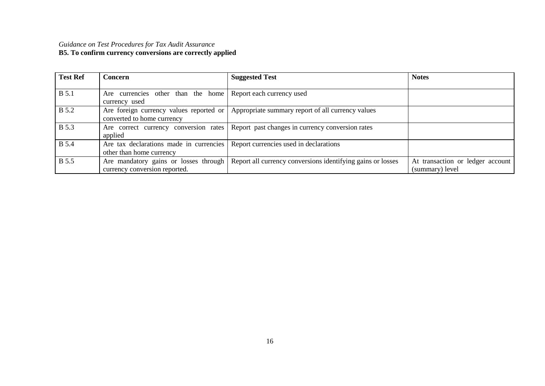#### *Guidance on Test Procedures for Tax Audit Assurance* **B5. To confirm currency conversions are correctly applied**

<span id="page-15-0"></span>

| <b>Test Ref</b> | Concern                                                                | <b>Suggested Test</b>                                       | <b>Notes</b>                                        |
|-----------------|------------------------------------------------------------------------|-------------------------------------------------------------|-----------------------------------------------------|
|                 |                                                                        |                                                             |                                                     |
| <b>B</b> 5.1    | Are currencies other than the home<br>currency used                    | Report each currency used                                   |                                                     |
| <b>B</b> 5.2    | Are foreign currency values reported or<br>converted to home currency  | Appropriate summary report of all currency values           |                                                     |
| <b>B</b> 5.3    | Are correct currency conversion rates<br>applied                       | Report past changes in currency conversion rates            |                                                     |
| <b>B</b> 5.4    | Are tax declarations made in currencies<br>other than home currency    | Report currencies used in declarations                      |                                                     |
| <b>B</b> 5.5    | Are mandatory gains or losses through<br>currency conversion reported. | Report all currency conversions identifying gains or losses | At transaction or ledger account<br>(summary) level |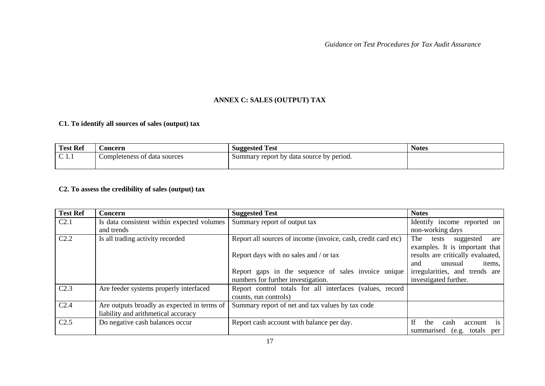# <span id="page-16-0"></span>**ANNEX C: SALES (OUTPUT) TAX**

# **C1. To identify all sources of sales (output) tax**

| <b>Test Ref</b> | <b>Concern</b>               | <b>Suggested Test</b>                    | <b>Notes</b> |
|-----------------|------------------------------|------------------------------------------|--------------|
| $\sim$<br>◡     | Completeness of data sources | Summary report by data source by period. |              |
|                 |                              |                                          |              |

## **C2. To assess the credibility of sales (output) tax**

<span id="page-16-2"></span><span id="page-16-1"></span>

| <b>Test Ref</b>  | Concern                                     | <b>Suggested Test</b>                                         | <b>Notes</b>                       |
|------------------|---------------------------------------------|---------------------------------------------------------------|------------------------------------|
| C <sub>2.1</sub> | Is data consistent within expected volumes  | Summary report of output tax                                  | Identify income reported on        |
|                  | and trends                                  |                                                               | non-working days                   |
| C <sub>2.2</sub> | Is all trading activity recorded            | Report all sources of income (invoice, cash, credit card etc) | The<br>tests<br>suggested<br>are   |
|                  |                                             |                                                               | examples. It is important that     |
|                  |                                             | Report days with no sales and / or tax                        | results are critically evaluated,  |
|                  |                                             |                                                               | unusual<br>items,<br>and           |
|                  |                                             | Report gaps in the sequence of sales invoice unique           | irregularities, and trends are     |
|                  |                                             | numbers for further investigation.                            | investigated further.              |
| C <sub>2.3</sub> | Are feeder systems properly interfaced      | Report control totals for all interfaces (values, record      |                                    |
|                  |                                             | counts, run controls)                                         |                                    |
| C <sub>2.4</sub> | Are outputs broadly as expected in terms of | Summary report of net and tax values by tax code              |                                    |
|                  | liability and arithmetical accuracy         |                                                               |                                    |
| C <sub>2.5</sub> | Do negative cash balances occur             | Report cash account with balance per day.                     | If<br>the<br>is<br>cash<br>account |
|                  |                                             |                                                               | summarised (e.g. totals per        |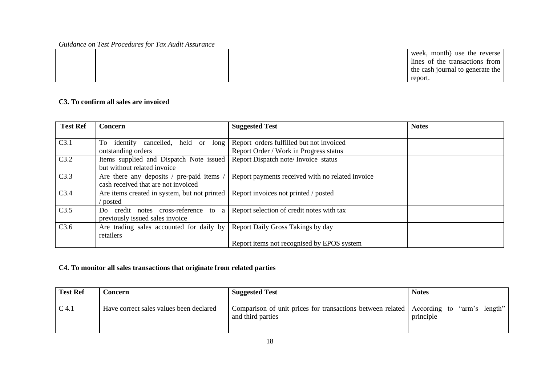|  | week, month) use the reverse     |
|--|----------------------------------|
|  | lines of the transactions from   |
|  | the cash journal to generate the |
|  | report.                          |

## **C3. To confirm all sales are invoiced**

| <b>Test Ref</b> | <b>Concern</b>                               | <b>Suggested Test</b>                            | <b>Notes</b> |
|-----------------|----------------------------------------------|--------------------------------------------------|--------------|
|                 |                                              |                                                  |              |
| C3.1            | identify cancelled, held or long<br>To       | Report orders fulfilled but not invoiced         |              |
|                 | outstanding orders                           | Report Order / Work in Progress status           |              |
| C3.2            | Items supplied and Dispatch Note issued      | Report Dispatch note/ Invoice status             |              |
|                 | but without related invoice                  |                                                  |              |
| C3.3            | Are there any deposits / pre-paid items /    | Report payments received with no related invoice |              |
|                 | cash received that are not invoiced          |                                                  |              |
| C3.4            | Are items created in system, but not printed | Report invoices not printed / posted             |              |
|                 | posted                                       |                                                  |              |
| C3.5            | credit notes cross-reference to<br>a<br>Do   | Report selection of credit notes with tax        |              |
|                 | previously issued sales invoice              |                                                  |              |
| C3.6            | Are trading sales accounted for daily by     | Report Daily Gross Takings by day                |              |
|                 | retailers                                    |                                                  |              |
|                 |                                              | Report items not recognised by EPOS system       |              |

# <span id="page-17-0"></span>**C4. To monitor all sales transactions that originate from related parties**

<span id="page-17-1"></span>

| <b>Test Ref</b> | <b>Concern</b>                          | <b>Suggested Test</b>                                                                                       | <b>Notes</b> |
|-----------------|-----------------------------------------|-------------------------------------------------------------------------------------------------------------|--------------|
| C 4.1           | Have correct sales values been declared | Comparison of unit prices for transactions between related According to "arm's length"<br>and third parties | principle    |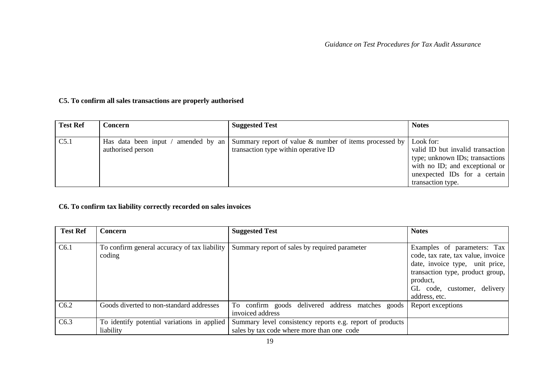# **C5. To confirm all sales transactions are properly authorised**

| <b>Test Ref</b> | <b>Concern</b>    | <b>Suggested Test</b>                                                                                    | <b>Notes</b>                     |
|-----------------|-------------------|----------------------------------------------------------------------------------------------------------|----------------------------------|
|                 |                   |                                                                                                          |                                  |
| C5.1            |                   | Has data been input / amended by an   Summary report of value & number of items processed by   Look for: |                                  |
|                 | authorised person | transaction type within operative ID                                                                     | valid ID but invalid transaction |
|                 |                   |                                                                                                          | type; unknown IDs; transactions  |
|                 |                   |                                                                                                          | with no ID; and exceptional or   |
|                 |                   |                                                                                                          | unexpected IDs for a certain     |
|                 |                   |                                                                                                          | transaction type.                |

# **C6. To confirm tax liability correctly recorded on sales invoices**

<span id="page-18-1"></span><span id="page-18-0"></span>

| <b>Test Ref</b> | Concern                                                  | <b>Suggested Test</b>                                                                                   | <b>Notes</b>                                                                                                                                                                                         |
|-----------------|----------------------------------------------------------|---------------------------------------------------------------------------------------------------------|------------------------------------------------------------------------------------------------------------------------------------------------------------------------------------------------------|
|                 |                                                          |                                                                                                         |                                                                                                                                                                                                      |
| C6.1            | To confirm general accuracy of tax liability<br>coding   | Summary report of sales by required parameter                                                           | Examples of parameters: Tax<br>code, tax rate, tax value, invoice<br>date, invoice type, unit price,<br>transaction type, product group,<br>product,<br>GL code, customer, delivery<br>address, etc. |
| C6.2            | Goods diverted to non-standard addresses                 | To confirm goods delivered address matches goods<br>invoiced address                                    | Report exceptions                                                                                                                                                                                    |
| C6.3            | To identify potential variations in applied<br>liability | Summary level consistency reports e.g. report of products<br>sales by tax code where more than one code |                                                                                                                                                                                                      |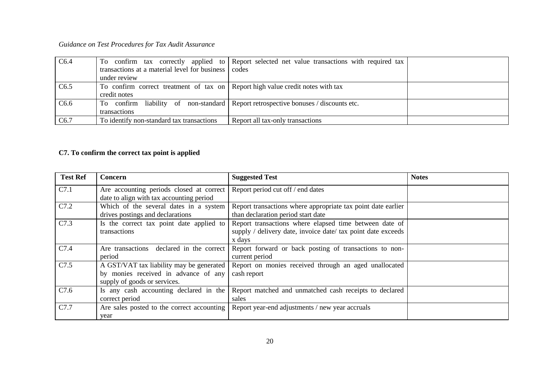| C6.4 |                                                                                | To confirm tax correctly applied to Report selected net value transactions with required tax |  |
|------|--------------------------------------------------------------------------------|----------------------------------------------------------------------------------------------|--|
|      | transactions at a material level for business codes                            |                                                                                              |  |
|      | under review                                                                   |                                                                                              |  |
| C6.5 | To confirm correct treatment of tax on Report high value credit notes with tax |                                                                                              |  |
|      | credit notes                                                                   |                                                                                              |  |
| C6.6 |                                                                                | To confirm liability of non-standard Report retrospective bonuses / discounts etc.           |  |
|      | transactions                                                                   |                                                                                              |  |
| C6.7 | To identify non-standard tax transactions                                      | Report all tax-only transactions                                                             |  |

# **C7. To confirm the correct tax point is applied**

<span id="page-19-0"></span>

| <b>Test Ref</b>  | Concern                                                                                                          | <b>Suggested Test</b>                                                                                                            | <b>Notes</b> |
|------------------|------------------------------------------------------------------------------------------------------------------|----------------------------------------------------------------------------------------------------------------------------------|--------------|
| C7.1             | Are accounting periods closed at correct<br>date to align with tax accounting period                             | Report period cut off / end dates                                                                                                |              |
| C7.2             | Which of the several dates in a system<br>drives postings and declarations                                       | Report transactions where appropriate tax point date earlier<br>than declaration period start date                               |              |
| C7.3             | Is the correct tax point date applied to<br>transactions                                                         | Report transactions where elapsed time between date of<br>supply / delivery date, invoice date/ tax point date exceeds<br>x days |              |
| C7.4             | Are transactions declared in the correct<br>period                                                               | Report forward or back posting of transactions to non-<br>current period                                                         |              |
| C7.5             | A GST/VAT tax liability may be generated<br>by monies received in advance of any<br>supply of goods or services. | Report on monies received through an aged unallocated<br>cash report                                                             |              |
| C7.6             | Is any cash accounting declared in the<br>correct period                                                         | Report matched and unmatched cash receipts to declared<br>sales                                                                  |              |
| C <sub>7.7</sub> | Are sales posted to the correct accounting<br>year                                                               | Report year-end adjustments / new year accruals                                                                                  |              |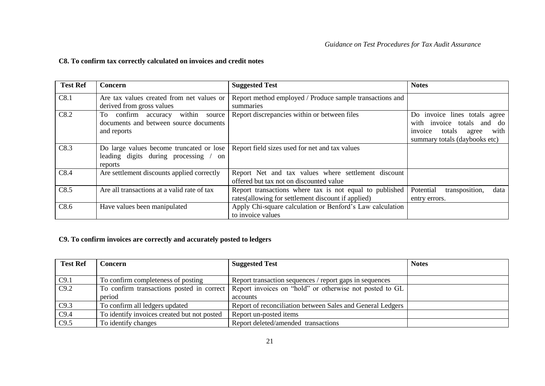#### **C8. To confirm tax correctly calculated on invoices and credit notes**

| <b>Test Ref</b> | <b>Concern</b>                                                                             | <b>Suggested Test</b>                                                                                         | <b>Notes</b>                                                                                                                          |
|-----------------|--------------------------------------------------------------------------------------------|---------------------------------------------------------------------------------------------------------------|---------------------------------------------------------------------------------------------------------------------------------------|
| C8.1            | Are tax values created from net values or<br>derived from gross values                     | Report method employed / Produce sample transactions and<br>summaries                                         |                                                                                                                                       |
| C8.2            | To confirm accuracy within source<br>documents and between source documents<br>and reports | Report discrepancies within or between files                                                                  | Do invoice lines totals agree<br>with invoice totals and<br>do<br>invoice<br>totals<br>with<br>agree<br>summary totals (daybooks etc) |
| C8.3            | leading digits during processing<br>$/$ on<br>reports                                      | Do large values become truncated or lose   Report field sizes used for net and tax values                     |                                                                                                                                       |
| C8.4            | Are settlement discounts applied correctly                                                 | Report Net and tax values where settlement discount<br>offered but tax not on discounted value                |                                                                                                                                       |
| C8.5            | Are all transactions at a valid rate of tax                                                | Report transactions where tax is not equal to published<br>rates(allowing for settlement discount if applied) | Potential<br>transposition,<br>data<br>entry errors.                                                                                  |
| C8.6            | Have values been manipulated                                                               | Apply Chi-square calculation or Benford's Law calculation<br>to invoice values                                |                                                                                                                                       |

## <span id="page-20-0"></span>**C9. To confirm invoices are correctly and accurately posted to ledgers**

<span id="page-20-1"></span>

| <b>Test Ref</b> | <b>Concern</b>                              | <b>Suggested Test</b>                                                                             | <b>Notes</b> |
|-----------------|---------------------------------------------|---------------------------------------------------------------------------------------------------|--------------|
|                 |                                             |                                                                                                   |              |
| C9.1            | To confirm completeness of posting          | Report transaction sequences / report gaps in sequences                                           |              |
| C9.2            |                                             | To confirm transactions posted in correct Report invoices on "hold" or otherwise not posted to GL |              |
|                 | period                                      | accounts                                                                                          |              |
| C9.3            | To confirm all ledgers updated              | Report of reconciliation between Sales and General Ledgers                                        |              |
| C9.4            | To identify invoices created but not posted | Report un-posted items                                                                            |              |
| C9.5            | To identify changes                         | Report deleted/amended transactions                                                               |              |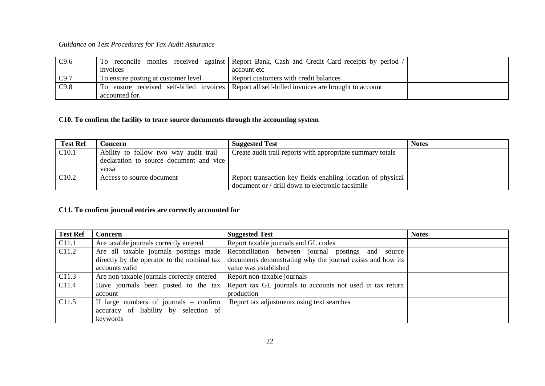| C9.6 |                                     | To reconcile monies received against Report Bank, Cash and Credit Card receipts by period /    |  |
|------|-------------------------------------|------------------------------------------------------------------------------------------------|--|
|      | invoices                            | account etc                                                                                    |  |
| C9.7 | To ensure posting at customer level | Report customers with credit balances                                                          |  |
| C9.8 |                                     | To ensure received self-billed invoices Report all self-billed invoices are brought to account |  |
|      | accounted for.                      |                                                                                                |  |

# **C10. To confirm the facility to trace source documents through the accounting system**

| <b>Test Ref</b>   | <b>Concern</b>                          | <b>Suggested Test</b>                                                                                | <b>Notes</b> |
|-------------------|-----------------------------------------|------------------------------------------------------------------------------------------------------|--------------|
| C <sub>10.1</sub> |                                         | Ability to follow two way audit trail $-$ Create audit trail reports with appropriate summary totals |              |
|                   | declaration to source document and vice |                                                                                                      |              |
|                   | versa                                   |                                                                                                      |              |
| C <sub>10.2</sub> | Access to source document               | Report transaction key fields enabling location of physical                                          |              |
|                   |                                         | document or / drill down to electronic facsimile                                                     |              |

#### **C11. To confirm journal entries are correctly accounted for**

<span id="page-21-1"></span><span id="page-21-0"></span>

| <b>Test Ref</b>   | <b>Concern</b>                              | <b>Suggested Test</b>                                      | <b>Notes</b> |
|-------------------|---------------------------------------------|------------------------------------------------------------|--------------|
| C <sub>11.1</sub> | Are taxable journals correctly entered      | Report taxable journals and GL codes                       |              |
| C <sub>11.2</sub> | Are all taxable journals postings made      | Reconciliation between journal postings and<br>source      |              |
|                   | directly by the operator to the nominal tax | documents demonstrating why the journal exists and how its |              |
|                   | accounts valid                              | value was established                                      |              |
| C <sub>11.3</sub> | Are non-taxable journals correctly entered  | Report non-taxable journals                                |              |
| C <sub>11.4</sub> | Have journals been posted to the tax        | Report tax GL journals to accounts not used in tax return  |              |
|                   | account                                     | production                                                 |              |
| C <sub>11.5</sub> | If large numbers of journals $-$ confirm    | Report tax adjustments using text searches                 |              |
|                   | accuracy of liability by selection of       |                                                            |              |
|                   | keywords                                    |                                                            |              |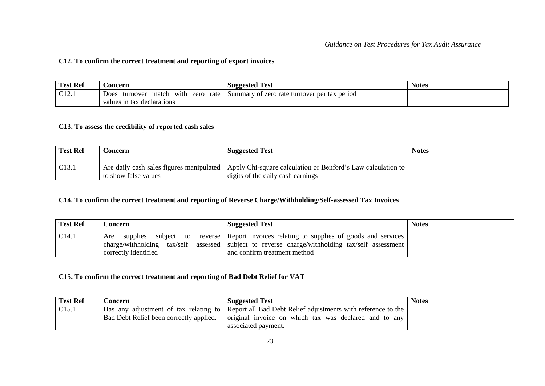#### **C12. To confirm the correct treatment and reporting of export invoices**

| <b>Test Ref</b>      | <b>Concern</b>                                    | <b>Suggested Test</b>                        | <b>Notes</b> |
|----------------------|---------------------------------------------------|----------------------------------------------|--------------|
| $\sqrt{12}$<br>U12.1 | rate<br>Does<br>match<br>with<br>zero<br>turnover | Summary of zero rate turnover per tax period |              |
|                      | values in tax declarations                        |                                              |              |

#### **C13. To assess the credibility of reported cash sales**

| <b>Test Ref</b> | .oncern              | <b>Suggested Test</b>                                                                                   | <b>Notes</b> |
|-----------------|----------------------|---------------------------------------------------------------------------------------------------------|--------------|
|                 |                      |                                                                                                         |              |
| C13.1           |                      | Are daily cash sales figures manipulated   Apply Chi-square calculation or Benford's Law calculation to |              |
|                 | to show false values | digits of the daily cash earnings                                                                       |              |

## **C14. To confirm the correct treatment and reporting of Reverse Charge/Withholding/Self-assessed Tax Invoices**

<span id="page-22-0"></span>

| <b>Test Ref</b> | <b>Concern</b>                     | <b>Suggested Test</b>                                                                                                                                        | <b>Notes</b> |
|-----------------|------------------------------------|--------------------------------------------------------------------------------------------------------------------------------------------------------------|--------------|
| C14.1           | Are<br>charge/withholding tax/self | supplies subject to reverse Report invoices relating to supplies of goods and services<br>assessed subject to reverse charge/withholding tax/self assessment |              |
|                 | correctly identified               | and confirm treatment method                                                                                                                                 |              |

## <span id="page-22-1"></span>**C15. To confirm the correct treatment and reporting of Bad Debt Relief for VAT**

<span id="page-22-3"></span><span id="page-22-2"></span>

| <b>Test Ref</b>   | <b>Concern</b> | <b>Suggested Test</b>                                                                              | <b>Notes</b> |
|-------------------|----------------|----------------------------------------------------------------------------------------------------|--------------|
| C <sub>15.1</sub> |                | Has any adjustment of tax relating to Report all Bad Debt Relief adjustments with reference to the |              |
|                   |                | Bad Debt Relief been correctly applied.   original invoice on which tax was declared and to any    |              |
|                   |                | associated payment.                                                                                |              |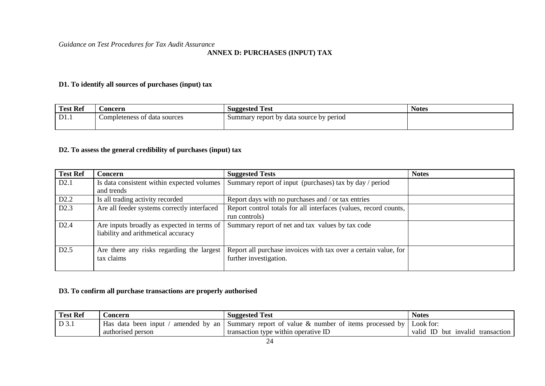#### **ANNEX D: PURCHASES (INPUT) TAX**

#### **D1. To identify all sources of purchases (input) tax**

| <b>Test Ref</b> | boncern                      | <b>Suggested Test</b>                   | <b>Notes</b> |
|-----------------|------------------------------|-----------------------------------------|--------------|
| D1.1            | Completeness of data sources | Summary report by data source by period |              |
|                 |                              |                                         |              |

## **D2. To assess the general credibility of purchases (input) tax**

<span id="page-23-0"></span>

| <b>Test Ref</b> | <b>Concern</b>                              | <b>Suggested Tests</b>                                           | <b>Notes</b> |
|-----------------|---------------------------------------------|------------------------------------------------------------------|--------------|
| D2.1            | Is data consistent within expected volumes  | Summary report of input (purchases) tax by day / period          |              |
|                 | and trends                                  |                                                                  |              |
| D2.2            | Is all trading activity recorded            | Report days with no purchases and / or tax entries               |              |
| D2.3            | Are all feeder systems correctly interfaced | Report control totals for all interfaces (values, record counts, |              |
|                 |                                             | run controls)                                                    |              |
| D2.4            | Are inputs broadly as expected in terms of  | Summary report of net and tax values by tax code                 |              |
|                 | liability and arithmetical accuracy         |                                                                  |              |
|                 |                                             |                                                                  |              |
| D2.5            | Are there any risks regarding the largest   | Report all purchase invoices with tax over a certain value, for  |              |
|                 | tax claims                                  | further investigation.                                           |              |
|                 |                                             |                                                                  |              |

#### <span id="page-23-2"></span><span id="page-23-1"></span>**D3. To confirm all purchase transactions are properly authorised**

<span id="page-23-3"></span>

| <b>Test Ref</b> | <b>Concern</b>      | <b>Suggested Test</b>                                                          | <b>Notes</b>                     |
|-----------------|---------------------|--------------------------------------------------------------------------------|----------------------------------|
| $D_3$ .         | Has data been input | amended by an Summary report of value & number of items processed by Look for: |                                  |
|                 | authorised person   | transaction type within operative ID                                           | valid ID but invalid transaction |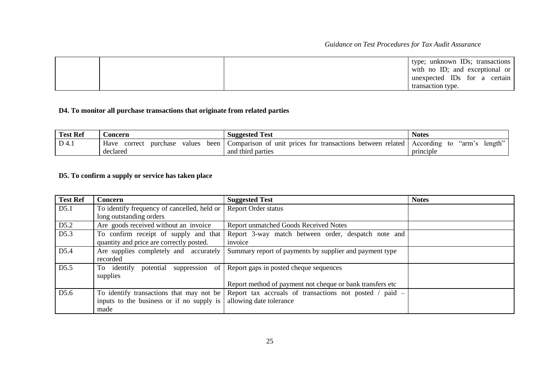|  | type; unknown IDs; transactions |
|--|---------------------------------|
|  | with no ID; and exceptional or  |
|  | unexpected IDs for a certain    |
|  | transaction type.               |

# **D4. To monitor all purchase transactions that originate from related parties**

| <b>Test Ref</b> | <b>Concern</b>                                | <b>Suggested Test</b>                                                        | <b>Notes</b>                        |
|-----------------|-----------------------------------------------|------------------------------------------------------------------------------|-------------------------------------|
| D 4.1           | been<br>purchase<br>Have<br>correct<br>values | related<br>prices<br>between<br>Comparison<br>transactions<br>of unit<br>tor | length"<br>"arm.<br>According<br>tο |
|                 | declared                                      | and third parties                                                            | principle                           |

## **D5. To confirm a supply or service has taken place**

<span id="page-24-1"></span><span id="page-24-0"></span>

| <b>Test Ref</b>  | <b>Concern</b>                              | <b>Suggested Test</b>                                                                              | <b>Notes</b> |
|------------------|---------------------------------------------|----------------------------------------------------------------------------------------------------|--------------|
| D5.1             | To identify frequency of cancelled, held or | <b>Report Order status</b>                                                                         |              |
|                  | long outstanding orders                     |                                                                                                    |              |
| D5.2             | Are goods received without an invoice       | <b>Report unmatched Goods Received Notes</b>                                                       |              |
| D5.3             | To confirm receipt of supply and that       | Report 3-way match between order, despatch note and                                                |              |
|                  | quantity and price are correctly posted.    | invoice                                                                                            |              |
| D <sub>5.4</sub> | Are supplies completely and accurately      | Summary report of payments by supplier and payment type                                            |              |
|                  | recorded                                    |                                                                                                    |              |
| D5.5             | suppression of<br>To identify potential     | Report gaps in posted cheque sequences                                                             |              |
|                  | supplies                                    |                                                                                                    |              |
|                  |                                             | Report method of payment not cheque or bank transfers etc                                          |              |
| D <sub>5.6</sub> |                                             | To identify transactions that may not be Report tax accruals of transactions not posted / paid $-$ |              |
|                  | inputs to the business or if no supply is   | allowing date tolerance                                                                            |              |
|                  | made                                        |                                                                                                    |              |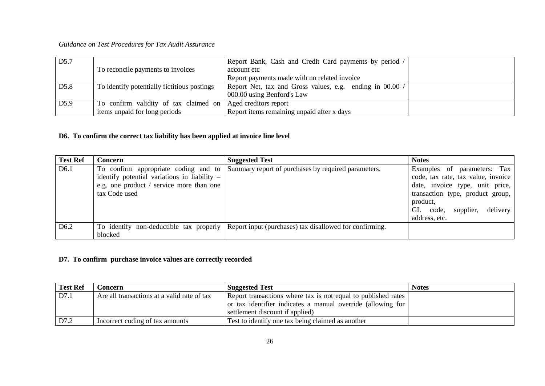| D <sub>5.7</sub> |                                                             | Report Bank, Cash and Credit Card payments by period /   |  |
|------------------|-------------------------------------------------------------|----------------------------------------------------------|--|
|                  | To reconcile payments to invoices                           | account etc                                              |  |
|                  |                                                             | Report payments made with no related invoice             |  |
| D <sub>5.8</sub> | To identify potentially fictitious postings                 | Report Net, tax and Gross values, e.g. ending in 00.00 / |  |
|                  |                                                             | 000.00 using Benford's Law                               |  |
| D <sub>5.9</sub> | To confirm validity of tax claimed on Aged creditors report |                                                          |  |
|                  | items unpaid for long periods                               | Report items remaining unpaid after x days               |  |

# **D6. To confirm the correct tax liability has been applied at invoice line level**

| <b>Test Ref</b>  | <b>Concern</b>                                                                                                                                      | <b>Suggested Test</b>                                                                           | <b>Notes</b>                                                                                                                                                                                               |
|------------------|-----------------------------------------------------------------------------------------------------------------------------------------------------|-------------------------------------------------------------------------------------------------|------------------------------------------------------------------------------------------------------------------------------------------------------------------------------------------------------------|
| D <sub>6.1</sub> | To confirm appropriate coding and to<br>identify potential variations in liability $-$<br>e.g. one product / service more than one<br>tax Code used | Summary report of purchases by required parameters.                                             | Examples of parameters: Tax<br>code, tax rate, tax value, invoice<br>date, invoice type, unit price,<br>transaction type, product group,<br>product,<br>GL code,<br>supplier,<br>delivery<br>address, etc. |
| D <sub>6.2</sub> | blocked                                                                                                                                             | To identify non-deductible tax properly Report input (purchases) tax disallowed for confirming. |                                                                                                                                                                                                            |

#### **D7. To confirm purchase invoice values are correctly recorded**

<span id="page-25-1"></span><span id="page-25-0"></span>

| <b>Test Ref</b> | .\oncern                                    | <b>Suggested Test</b>                                         | <b>Notes</b> |
|-----------------|---------------------------------------------|---------------------------------------------------------------|--------------|
| D7.1            | Are all transactions at a valid rate of tax | Report transactions where tax is not equal to published rates |              |
|                 |                                             | or tax identifier indicates a manual override (allowing for   |              |
|                 |                                             | settlement discount if applied)                               |              |
| D7.2            | Incorrect coding of tax amounts             | Test to identify one tax being claimed as another             |              |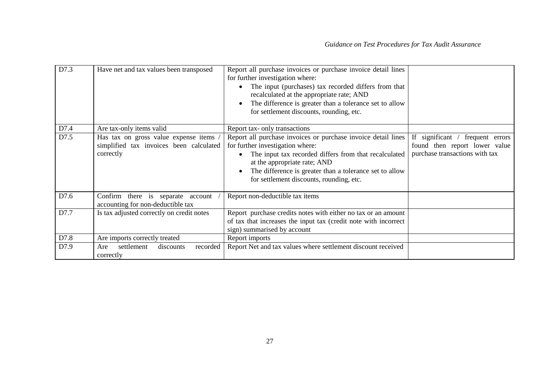| D7.3 | Have net and tax values been transposed                                                      | Report all purchase invoices or purchase invoice detail lines<br>for further investigation where:<br>The input (purchases) tax recorded differs from that<br>recalculated at the appropriate rate; AND<br>The difference is greater than a tolerance set to allow<br>for settlement discounts, rounding, etc. |                                                                                                     |
|------|----------------------------------------------------------------------------------------------|---------------------------------------------------------------------------------------------------------------------------------------------------------------------------------------------------------------------------------------------------------------------------------------------------------------|-----------------------------------------------------------------------------------------------------|
| D7.4 | Are tax-only items valid                                                                     | Report tax- only transactions                                                                                                                                                                                                                                                                                 |                                                                                                     |
| D7.5 | Has tax on gross value expense items<br>simplified tax invoices been calculated<br>correctly | Report all purchase invoices or purchase invoice detail lines<br>for further investigation where:<br>The input tax recorded differs from that recalculated<br>at the appropriate rate; AND<br>The difference is greater than a tolerance set to allow<br>for settlement discounts, rounding, etc.             | If significant / frequent errors<br>found then report lower value<br>purchase transactions with tax |
| D7.6 | Confirm there is separate account<br>accounting for non-deductible tax                       | Report non-deductible tax items                                                                                                                                                                                                                                                                               |                                                                                                     |
| D7.7 | Is tax adjusted correctly on credit notes                                                    | Report purchase credits notes with either no tax or an amount<br>of tax that increases the input tax (credit note with incorrect<br>sign) summarised by account                                                                                                                                               |                                                                                                     |
| D7.8 | Are imports correctly treated                                                                | Report imports                                                                                                                                                                                                                                                                                                |                                                                                                     |
| D7.9 | recorded<br>settlement<br>discounts<br>Are<br>correctly                                      | Report Net and tax values where settlement discount received                                                                                                                                                                                                                                                  |                                                                                                     |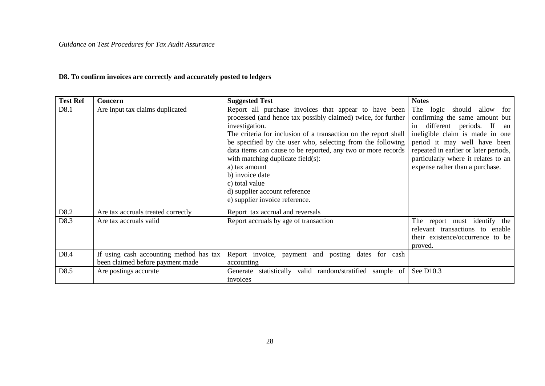# **D8. To confirm invoices are correctly and accurately posted to ledgers**

<span id="page-27-0"></span>

| <b>Test Ref</b> | Concern                                                                     | <b>Suggested Test</b>                                                                                                                                                                                                                                                                                                                                                                                                                                                                                   | <b>Notes</b>                                                                                                                                                                                                                                                                            |
|-----------------|-----------------------------------------------------------------------------|---------------------------------------------------------------------------------------------------------------------------------------------------------------------------------------------------------------------------------------------------------------------------------------------------------------------------------------------------------------------------------------------------------------------------------------------------------------------------------------------------------|-----------------------------------------------------------------------------------------------------------------------------------------------------------------------------------------------------------------------------------------------------------------------------------------|
| D8.1            | Are input tax claims duplicated                                             | Report all purchase invoices that appear to have been<br>processed (and hence tax possibly claimed) twice, for further<br>investigation.<br>The criteria for inclusion of a transaction on the report shall<br>be specified by the user who, selecting from the following<br>data items can cause to be reported, any two or more records<br>with matching duplicate field(s):<br>a) tax amount<br>b) invoice date<br>c) total value<br>d) supplier account reference<br>e) supplier invoice reference. | The logic should allow<br>for<br>confirming the same amount but<br>in different periods. If<br>an<br>ineligible claim is made in one<br>period it may well have been<br>repeated in earlier or later periods,<br>particularly where it relates to an<br>expense rather than a purchase. |
| D8.2            | Are tax accruals treated correctly                                          | Report tax accrual and reversals                                                                                                                                                                                                                                                                                                                                                                                                                                                                        |                                                                                                                                                                                                                                                                                         |
| D8.3            | Are tax accruals valid                                                      | Report accruals by age of transaction                                                                                                                                                                                                                                                                                                                                                                                                                                                                   | The report must identify the<br>relevant transactions to enable<br>their existence/occurrence to be<br>proved.                                                                                                                                                                          |
| D8.4            | If using cash accounting method has tax<br>been claimed before payment made | Report invoice, payment and posting dates for cash<br>accounting                                                                                                                                                                                                                                                                                                                                                                                                                                        |                                                                                                                                                                                                                                                                                         |
| D8.5            | Are postings accurate                                                       | Generate statistically valid random/stratified sample of<br>invoices                                                                                                                                                                                                                                                                                                                                                                                                                                    | See D10.3                                                                                                                                                                                                                                                                               |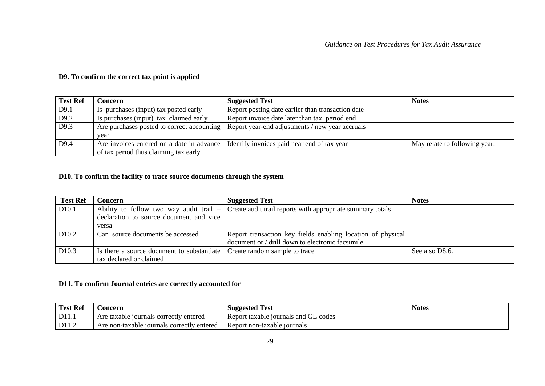## **D9. To confirm the correct tax point is applied**

| <b>Test Ref</b> | doncern.                                  | <b>Suggested Test</b>                                                                        | <b>Notes</b>                  |
|-----------------|-------------------------------------------|----------------------------------------------------------------------------------------------|-------------------------------|
| D9.1            | Is purchases (input) tax posted early     | Report posting date earlier than transaction date                                            |                               |
| D9.2            | Is purchases (input) tax claimed early    | Report invoice date later than tax period end                                                |                               |
| D9.3            |                                           | Are purchases posted to correct accounting   Report year-end adjustments / new year accruals |                               |
|                 | vear                                      |                                                                                              |                               |
| D9.4            | Are invoices entered on a date in advance | Identify invoices paid near end of tax year                                                  | May relate to following year. |
|                 | of tax period thus claiming tax early     |                                                                                              |                               |

#### **D10. To confirm the facility to trace source documents through the system**

<span id="page-28-0"></span>

| <b>Test Ref</b>   | Concern                                    | <b>Suggested Test</b>                                       | <b>Notes</b>   |
|-------------------|--------------------------------------------|-------------------------------------------------------------|----------------|
| D <sub>10.1</sub> | Ability to follow two way audit trail $-$  | Create audit trail reports with appropriate summary totals  |                |
|                   | declaration to source document and vice    |                                                             |                |
|                   | versa                                      |                                                             |                |
| D <sub>10.2</sub> | Can source documents be accessed           | Report transaction key fields enabling location of physical |                |
|                   |                                            | document or / drill down to electronic facsimile            |                |
| D <sub>10.3</sub> | Is there a source document to substantiate | Create random sample to trace                               | See also D8.6. |
|                   | tax declared or claimed                    |                                                             |                |

## **D11. To confirm Journal entries are correctly accounted for**

<span id="page-28-2"></span><span id="page-28-1"></span>

| <b>Test Ref</b> | .oncern                                    | <b>Suggested Test</b>                | <b>Notes</b> |
|-----------------|--------------------------------------------|--------------------------------------|--------------|
| D11.1           | Are taxable journals correctly entered     | Report taxable journals and GL codes |              |
| D11.2           | Are non-taxable journals correctly entered | Report non-taxable journals          |              |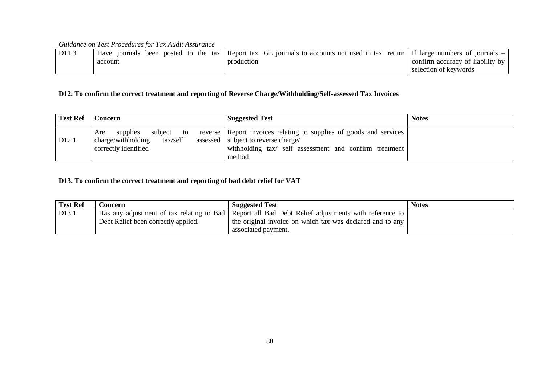| D11.3 | been posted to<br>the tax I<br>Have<br>10urnals | GL journals to accounts not used in tax<br>Report tax<br>return | I If large numbers of journals   |
|-------|-------------------------------------------------|-----------------------------------------------------------------|----------------------------------|
|       | account                                         | production                                                      | confirm accuracy of liability by |
|       |                                                 |                                                                 | selection of keywords            |

## **D12. To confirm the correct treatment and reporting of Reverse Charge/Withholding/Self-assessed Tax Invoices**

| <b>Test Ref</b>   | <b>Concern</b>                                                                          | <b>Suggested Test</b>                                                                                                                                                           | <b>Notes</b> |
|-------------------|-----------------------------------------------------------------------------------------|---------------------------------------------------------------------------------------------------------------------------------------------------------------------------------|--------------|
| D <sub>12.1</sub> | subject to<br>supplies<br>Are<br>tax/self<br>charge/withholding<br>correctly identified | reverse Report invoices relating to supplies of goods and services<br>assessed   subject to reverse charge/<br>withholding tax/ self assessment and confirm treatment<br>method |              |

## **D13. To confirm the correct treatment and reporting of bad debt relief for VAT**

<span id="page-29-1"></span><span id="page-29-0"></span>

| <b>Test Ref</b> | <b>Concern</b>                      | <b>Suggested Test</b>                                                                                | <b>Notes</b> |
|-----------------|-------------------------------------|------------------------------------------------------------------------------------------------------|--------------|
| D13.1           |                                     | Has any adjustment of tax relating to Bad   Report all Bad Debt Relief adjustments with reference to |              |
|                 | Debt Relief been correctly applied. | the original invoice on which tax was declared and to any                                            |              |
|                 |                                     | associated payment.                                                                                  |              |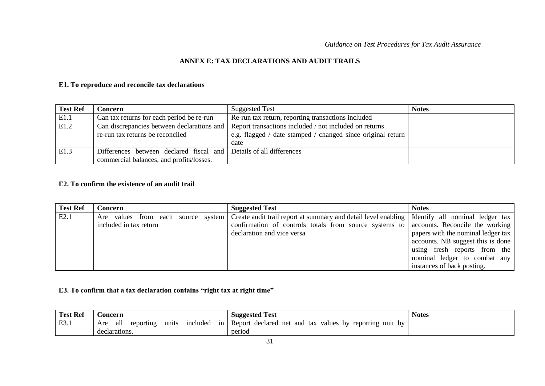#### **ANNEX E: TAX DECLARATIONS AND AUDIT TRAILS**

#### **E1. To reproduce and reconcile tax declarations**

| <b>Test Ref</b> | Concern :                                                                      | <b>Suggested Test</b>                                                                                                         | <b>Notes</b> |
|-----------------|--------------------------------------------------------------------------------|-------------------------------------------------------------------------------------------------------------------------------|--------------|
| E1.1            | Can tax returns for each period be re-run                                      | Re-run tax return, reporting transactions included                                                                            |              |
| E1.2            | Can discrepancies between declarations and<br>re-run tax returns be reconciled | Report transactions included / not included on returns<br>e.g. flagged / date stamped / changed since original return<br>date |              |
| E1.3            | Differences between declared fiscal and                                        | Details of all differences                                                                                                    |              |
|                 | commercial balances, and profits/losses.                                       |                                                                                                                               |              |

#### **E2. To confirm the existence of an audit trail**

<span id="page-30-1"></span><span id="page-30-0"></span>

| <b>Test Ref</b> | Concern                            | <b>Suggested Test</b>                                                                            | <b>Notes</b>                       |
|-----------------|------------------------------------|--------------------------------------------------------------------------------------------------|------------------------------------|
| E2.1            | Are values from each source system | Create audit trail report at summary and detail level enabling   Identify all nominal ledger tax |                                    |
|                 | included in tax return             | confirmation of controls totals from source systems to accounts. Reconcile the working           |                                    |
|                 |                                    | declaration and vice versa                                                                       | papers with the nominal ledger tax |
|                 |                                    |                                                                                                  | accounts. NB suggest this is done  |
|                 |                                    |                                                                                                  | using fresh reports from the       |
|                 |                                    |                                                                                                  | nominal ledger to combat any       |
|                 |                                    |                                                                                                  | instances of back posting.         |

## **E3. To confirm that a tax declaration contains "right tax at right time"**

<span id="page-30-3"></span><span id="page-30-2"></span>

| <b>Test Ref</b> | oncern                                             | <b>Suggested Test</b>                                         | <b>Notes</b> |
|-----------------|----------------------------------------------------|---------------------------------------------------------------|--------------|
| E3.1            | included<br>1n<br>units<br>Are<br>alı<br>reporting | Report<br>declared net and tax<br>values by reporting unit by |              |
|                 | declarations.                                      | period                                                        |              |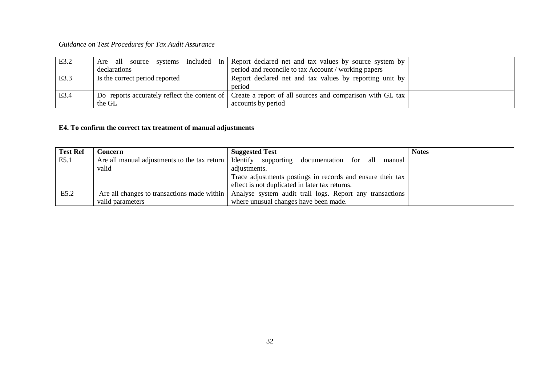| E3.2 |                                   | Are all source systems included in Report declared net and tax values by source system by              |  |
|------|-----------------------------------|--------------------------------------------------------------------------------------------------------|--|
|      | declarations                      | period and reconcile to tax Account / working papers                                                   |  |
| E3.3 | If Is the correct period reported | Report declared net and tax values by reporting unit by                                                |  |
|      |                                   | period                                                                                                 |  |
| E3.4 |                                   | Do reports accurately reflect the content of Create a report of all sources and comparison with GL tax |  |
|      | the GL                            | accounts by period                                                                                     |  |

## **E4. To confirm the correct tax treatment of manual adjustments**

<span id="page-31-0"></span>

| <b>Test Ref</b> | Concern                                      | <b>Suggested Test</b>                                      | <b>Notes</b> |
|-----------------|----------------------------------------------|------------------------------------------------------------|--------------|
| E5.1            | Are all manual adjustments to the tax return | Identify<br>supporting<br>documentation for all manual     |              |
|                 | valid                                        | adjustments.                                               |              |
|                 |                                              | Trace adjustments postings in records and ensure their tax |              |
|                 |                                              | effect is not duplicated in later tax returns.             |              |
| E5.2            | Are all changes to transactions made within  | Analyse system audit trail logs. Report any transactions   |              |
|                 | valid parameters                             | where unusual changes have been made.                      |              |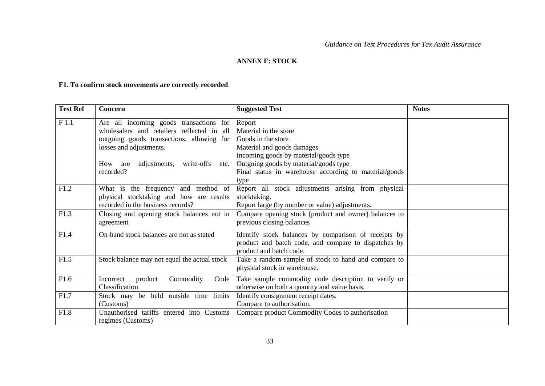## <span id="page-32-0"></span>**ANNEX F: STOCK**

# **F1. To confirm stock movements are correctly recorded**

<span id="page-32-1"></span>

| <b>Test Ref</b> | Concern                                                                                                                                                                                                                     | <b>Suggested Test</b>                                                                                                                                                                                                                  | <b>Notes</b> |
|-----------------|-----------------------------------------------------------------------------------------------------------------------------------------------------------------------------------------------------------------------------|----------------------------------------------------------------------------------------------------------------------------------------------------------------------------------------------------------------------------------------|--------------|
| F1.1            | Are all incoming goods transactions for<br>wholesalers and retailers reflected in all<br>outgoing goods transactions, allowing for<br>losses and adjustments.<br>adjustments, write-offs<br>How<br>are<br>etc.<br>recorded? | Report<br>Material in the store<br>Goods in the store<br>Material and goods damages<br>Incoming goods by material/goods type<br>Outgoing goods by material/goods type<br>Final status in warehouse according to material/goods<br>type |              |
| F1.2            | What is the frequency and method of<br>physical stocktaking and how are results<br>recorded in the business records?                                                                                                        | Report all stock adjustments arising from physical<br>stocktaking.<br>Report large (by number or value) adjustments.                                                                                                                   |              |
| F1.3            | Closing and opening stock balances not in<br>agreement                                                                                                                                                                      | Compare opening stock (product and owner) balances to<br>previous closing balances                                                                                                                                                     |              |
| F1.4            | On-hand stock balances are not as stated                                                                                                                                                                                    | Identify stock balances by comparison of receipts by<br>product and batch code, and compare to dispatches by<br>product and batch code.                                                                                                |              |
| F1.5            | Stock balance may not equal the actual stock                                                                                                                                                                                | Take a random sample of stock to hand and compare to<br>physical stock in warehouse.                                                                                                                                                   |              |
| F1.6            | Commodity<br>Incorrect<br>product<br>Code<br>Classification                                                                                                                                                                 | Take sample commodity code description to verify or<br>otherwise on both a quantity and value basis.                                                                                                                                   |              |
| F1.7            | Stock may be held outside time limits<br>(Customs)                                                                                                                                                                          | Identify consignment receipt dates.<br>Compare to authorisation.                                                                                                                                                                       |              |
| F1.8            | Unauthorised tariffs entered into Customs<br>regimes (Customs)                                                                                                                                                              | Compare product Commodity Codes to authorisation                                                                                                                                                                                       |              |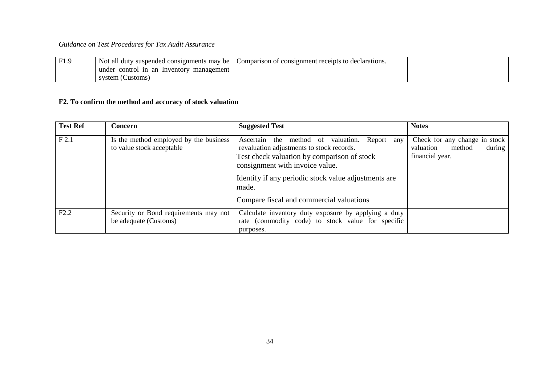| F1.9 | Not all duty suspended consignments may be | Comparison of consignment receipts to declarations. |  |
|------|--------------------------------------------|-----------------------------------------------------|--|
|      | under control in an Inventory management   |                                                     |  |
|      | system (Customs)                           |                                                     |  |

# **F2. To confirm the method and accuracy of stock valuation**

<span id="page-33-0"></span>

| <b>Test Ref</b> | <b>Concern</b>                                                      | <b>Suggested Test</b>                                                                                                                                                                                                                                                                     | <b>Notes</b>                                                                      |
|-----------------|---------------------------------------------------------------------|-------------------------------------------------------------------------------------------------------------------------------------------------------------------------------------------------------------------------------------------------------------------------------------------|-----------------------------------------------------------------------------------|
| F2.1            | Is the method employed by the business<br>to value stock acceptable | Ascertain the method of valuation. Report any<br>revaluation adjustments to stock records.<br>Test check valuation by comparison of stock<br>consignment with invoice value.<br>Identify if any periodic stock value adjustments are<br>made.<br>Compare fiscal and commercial valuations | Check for any change in stock<br>method<br>during<br>valuation<br>financial year. |
| F2.2            | Security or Bond requirements may not<br>be adequate (Customs)      | Calculate inventory duty exposure by applying a duty<br>rate (commodity code) to stock value for specific<br>purposes.                                                                                                                                                                    |                                                                                   |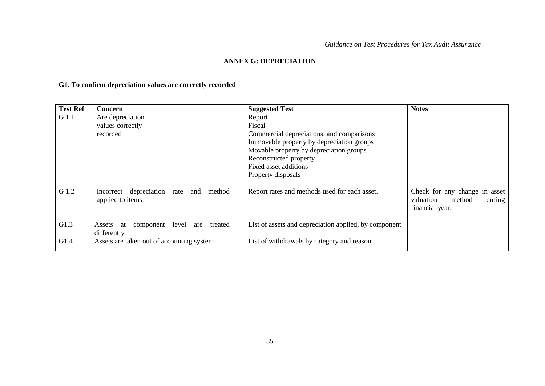## <span id="page-34-0"></span>**ANNEX G: DEPRECIATION**

# **G1. To confirm depreciation values are correctly recorded**

<span id="page-34-1"></span>

| <b>Test Ref</b> | Concern                                                             | <b>Suggested Test</b>                                                                                                                                                                                                          | <b>Notes</b>                                                                      |
|-----------------|---------------------------------------------------------------------|--------------------------------------------------------------------------------------------------------------------------------------------------------------------------------------------------------------------------------|-----------------------------------------------------------------------------------|
| G 1.1           | Are depreciation<br>values correctly<br>recorded                    | Report<br>Fiscal<br>Commercial depreciations, and comparisons<br>Immovable property by depreciation groups<br>Movable property by depreciation groups<br>Reconstructed property<br>Fixed asset additions<br>Property disposals |                                                                                   |
| G 1.2           | Incorrect depreciation<br>method<br>and<br>rate<br>applied to items | Report rates and methods used for each asset.                                                                                                                                                                                  | Check for any change in asset<br>method<br>valuation<br>during<br>financial year. |
| G1.3            | treated<br>level<br>component<br>Assets<br>are<br>at<br>differently | List of assets and depreciation applied, by component                                                                                                                                                                          |                                                                                   |
| G1.4            | Assets are taken out of accounting system                           | List of withdrawals by category and reason                                                                                                                                                                                     |                                                                                   |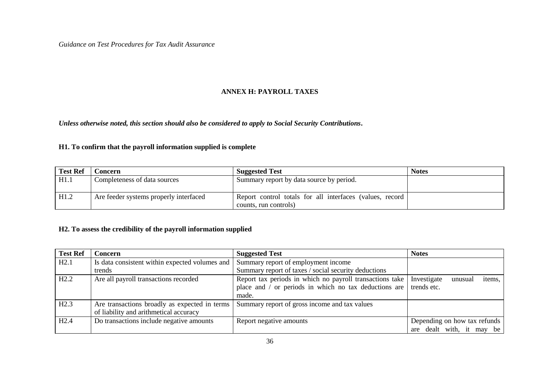## <span id="page-35-0"></span>**ANNEX H: PAYROLL TAXES**

*Unless otherwise noted, this section should also be considered to apply to Social Security Contributions***.**

#### **H1. To confirm that the payroll information supplied is complete**

| <b>Test Ref</b> | Concern                                | <b>Suggested Test</b>                                     | <b>Notes</b> |
|-----------------|----------------------------------------|-----------------------------------------------------------|--------------|
| H1.1            | Completeness of data sources           | Summary report by data source by period.                  |              |
| H1.2            | Are feeder systems properly interfaced | Report control totals for all interfaces (values, record) |              |
|                 |                                        | counts, run controls)                                     |              |

#### **H2. To assess the credibility of the payroll information supplied**

<span id="page-35-2"></span><span id="page-35-1"></span>

| <b>Test Ref</b> | <b>Concern</b>                                 | <b>Suggested Test</b>                                    | <b>Notes</b>                     |
|-----------------|------------------------------------------------|----------------------------------------------------------|----------------------------------|
| H2.1            | Is data consistent within expected volumes and | Summary report of employment income                      |                                  |
|                 | trends                                         | Summary report of taxes / social security deductions     |                                  |
| H2.2            | Are all payroll transactions recorded          | Report tax periods in which no payroll transactions take | Investigate<br>items,<br>unusual |
|                 |                                                | place and / or periods in which no tax deductions are    | trends etc.                      |
|                 |                                                | made.                                                    |                                  |
| H2.3            | Are transactions broadly as expected in terms  | Summary report of gross income and tax values            |                                  |
|                 | of liability and arithmetical accuracy         |                                                          |                                  |
| H2.4            | Do transactions include negative amounts       | Report negative amounts                                  | Depending on how tax refunds     |
|                 |                                                |                                                          | are dealt with, it may be        |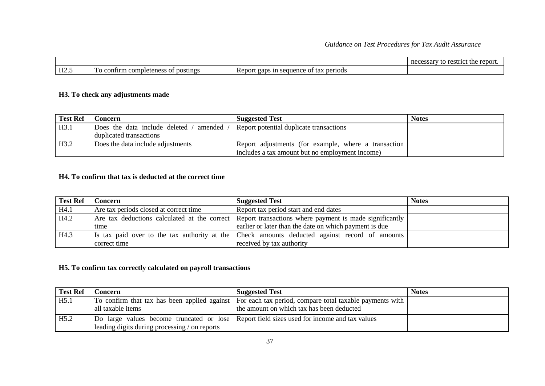|      |                                             |                                                                                      | the<br>necessary<br>restr.<br>-------<br>$.1C^+$<br>™DOI t.<br>w |
|------|---------------------------------------------|--------------------------------------------------------------------------------------|------------------------------------------------------------------|
| H2.5 | completeness of 1<br>To confirm<br>postings | periods<br>Report<br>sequence<br>gaps<br>1n<br>$\sim$ $\sim$<br>-las<br>$\mathbf{u}$ |                                                                  |

## **H3. To check any adjustments made**

| <b>Test Ref</b> | Concern                                    | <b>Suggested Test</b>                                | <b>Notes</b> |
|-----------------|--------------------------------------------|------------------------------------------------------|--------------|
| H3.1            | Does the data include deleted /<br>amended | Report potential duplicate transactions              |              |
|                 | duplicated transactions                    |                                                      |              |
| H3.2            | Does the data include adjustments          | Report adjustments (for example, where a transaction |              |
|                 |                                            | includes a tax amount but no employment income)      |              |

## **H4. To confirm that tax is deducted at the correct time**

| <b>Test Ref</b> | Concern                                | <b>Suggested Test</b>                                                                                | <b>Notes</b> |
|-----------------|----------------------------------------|------------------------------------------------------------------------------------------------------|--------------|
| H4.1            | Are tax periods closed at correct time | Report tax period start and end dates                                                                |              |
| H4.2            |                                        | Are tax deductions calculated at the correct Report transactions where payment is made significantly |              |
|                 | time                                   | earlier or later than the date on which payment is due                                               |              |
| H4.3            |                                        | Is tax paid over to the tax authority at the Check amounts deducted against record of amounts        |              |
|                 | correct time                           | received by tax authority                                                                            |              |

#### <span id="page-36-0"></span>**H5. To confirm tax correctly calculated on payroll transactions**

<span id="page-36-2"></span><span id="page-36-1"></span>

| <b>Test Ref</b> | Concern                                       | <b>Suggested Test</b>                                                                                   | <b>Notes</b> |
|-----------------|-----------------------------------------------|---------------------------------------------------------------------------------------------------------|--------------|
| H5.1            |                                               | To confirm that tax has been applied against   For each tax period, compare total taxable payments with |              |
|                 | all taxable items                             | the amount on which tax has been deducted                                                               |              |
| H5.2            |                                               | Do large values become truncated or lose Report field sizes used for income and tax values              |              |
|                 | leading digits during processing / on reports |                                                                                                         |              |